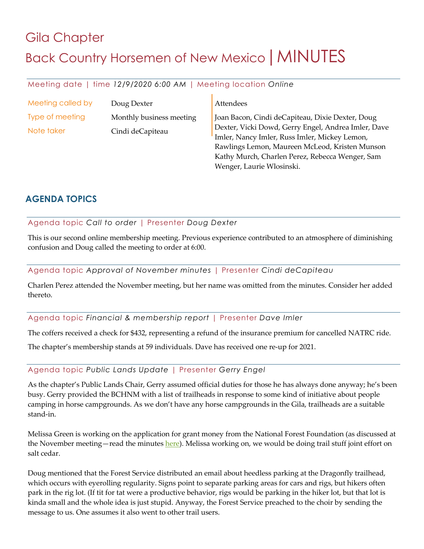# Gila Chapter Back Country Horsemen of New Mexico | MINUTES

#### Meeting date | time *12/9/2020 6:00 AM* | Meeting location *Online*

| Meeting called by<br>Doug Dexter |                                              | Attendees                                                                                                                                                                                                                                                     |
|----------------------------------|----------------------------------------------|---------------------------------------------------------------------------------------------------------------------------------------------------------------------------------------------------------------------------------------------------------------|
| Type of meeting<br>Note taker    | Monthly business meeting<br>Cindi deCapiteau | Joan Bacon, Cindi deCapiteau, Dixie Dexter, Doug<br>Dexter, Vicki Dowd, Gerry Engel, Andrea Imler, Dave<br>Imler, Nancy Imler, Russ Imler, Mickey Lemon,<br>Rawlings Lemon, Maureen McLeod, Kristen Munson<br>Kathy Murch, Charlen Perez, Rebecca Wenger, Sam |

Wenger, Laurie Wlosinski.

### **AGENDA TOPICS**

#### Agenda topic *Call to order* | Presenter *Doug Dexter*

This is our second online membership meeting. Previous experience contributed to an atmosphere of diminishing confusion and Doug called the meeting to order at 6:00.

Agenda topic *Approval of November minutes* | Presenter *Cindi deCapiteau*

Charlen Perez attended the November meeting, but her name was omitted from the minutes. Consider her added thereto.

Agenda topic *Financial & membership report* | Presenter *Dave Imler*

The coffers received a check for \$432, representing a refund of the insurance premium for cancelled NATRC ride.

The chapter's membership stands at 59 individuals. Dave has received one re-up for 2021.

#### Agenda topic *Public Lands Update* | Presenter *Gerry Engel*

As the chapter's Public Lands Chair, Gerry assumed official duties for those he has always done anyway; he's been busy. Gerry provided the BCHNM with a list of trailheads in response to some kind of initiative about people camping in horse campgrounds. As we don't have any horse campgrounds in the Gila, trailheads are a suitable stand-in.

Melissa Green is working on the application for grant money from the National Forest Foundation (as discussed at the November meeting—read the minutes here). Melissa working on, we would be doing trail stuff joint effort on salt cedar.

Doug mentioned that the Forest Service distributed an email about heedless parking at the Dragonfly trailhead, which occurs with eyerolling regularity. Signs point to separate parking areas for cars and rigs, but hikers often park in the rig lot. (If tit for tat were a productive behavior, rigs would be parking in the hiker lot, but that lot is kinda small and the whole idea is just stupid. Anyway, the Forest Service preached to the choir by sending the message to us. One assumes it also went to other trail users.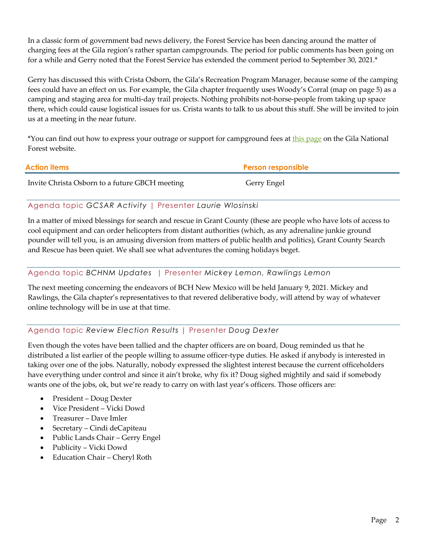In a classic form of government bad news delivery, the Forest Service has been dancing around the matter of charging fees at the Gila region's rather spartan campgrounds. The period for public comments has been going on for a while and Gerry noted that the Forest Service has extended the comment period to September 30, 2021.\*

Gerry has discussed this with Crista Osborn, the Gila's Recreation Program Manager, because some of the camping fees could have an effect on us. For example, the Gila chapter frequently uses Woody's Corral (map on page 5) as a camping and staging area for multi-day trail projects. Nothing prohibits not-horse-people from taking up space there, which could cause logistical issues for us. Crista wants to talk to us about this stuff. She will be invited to join us at a meeting in the near future.

\*You can find out how to express your outrage or support for campground fees at this page on the Gila National Forest website.

| <b>Action items</b>                            | <b>Person responsible</b> |
|------------------------------------------------|---------------------------|
| Invite Christa Osborn to a future GBCH meeting | Gerry Engel               |

#### Agenda topic *GCSAR Activity* | Presenter *Laurie Wlosinski*

In a matter of mixed blessings for search and rescue in Grant County (these are people who have lots of access to cool equipment and can order helicopters from distant authorities (which, as any adrenaline junkie ground pounder will tell you, is an amusing diversion from matters of public health and politics), Grant County Search and Rescue has been quiet. We shall see what adventures the coming holidays beget.

#### Agenda topic *BCHNM Updates* | Presenter *Mickey Lemon, Rawlings Lemon*

The next meeting concerning the endeavors of BCH New Mexico will be held January 9, 2021. Mickey and Rawlings, the Gila chapter's representatives to that revered deliberative body, will attend by way of whatever online technology will be in use at that time.

#### Agenda topic *Review Election Results* | Presenter *Doug Dexter*

Even though the votes have been tallied and the chapter officers are on board, Doug reminded us that he distributed a list earlier of the people willing to assume officer-type duties. He asked if anybody is interested in taking over one of the jobs. Naturally, nobody expressed the slightest interest because the current officeholders have everything under control and since it ain't broke, why fix it? Doug sighed mightily and said if somebody wants one of the jobs, ok, but we're ready to carry on with last year's officers. Those officers are:

- President Doug Dexter
- Vice President Vicki Dowd
- Treasurer Dave Imler
- Secretary Cindi deCapiteau
- Public Lands Chair Gerry Engel
- Publicity Vicki Dowd
- Education Chair Cheryl Roth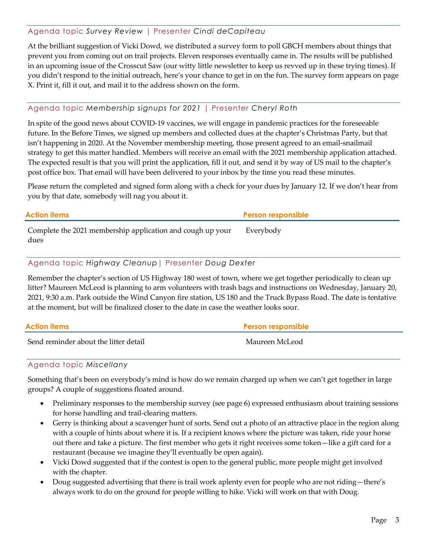#### Agenda topic *Survey Review* | Presenter *Cindi deCapiteau*

At the brilliant suggestion of Vicki Dowd, we distributed a survey form to poll GBCH members about things that prevent you from coming out on trail projects. Eleven responses eventually came in. The results will be published in an upcoming issue of the Crosscut Saw (our witty little newsletter to keep us revved up in these trying times). If you didn't respond to the initial outreach, here's your chance to get in on the fun. The survey form appears on page X. Print it, fill it out, and mail it to the address shown on the form.

#### Agenda topic *Membership signups for 2021* | Presenter *Cheryl Roth*

In spite of the good news about COVID-19 vaccines, we will engage in pandemic practices for the foreseeable future. In the Before Times, we signed up members and collected dues at the chapter's Christmas Party, but that isn't happening in 2020. At the November membership meeting, those present agreed to an email-snailmail strategy to get this matter handled. Members will receive an email with the 2021 membership application attached. The expected result is that you will print the application, fill it out, and send it by way of US mail to the chapter's post office box. That email will have been delivered to your inbox by the time you read these minutes.

Please return the completed and signed form along with a check for your dues by January 12. If we don't hear from you by that date, somebody will nag you about it.

| <b>Action items</b>                                                | <b>Person responsible</b> |
|--------------------------------------------------------------------|---------------------------|
| Complete the 2021 membership application and cough up your<br>dues | Everybody                 |

#### Agenda topic *Highway Cleanup*| Presenter *Doug Dexter*

Remember the chapter's section of US Highway 180 west of town, where we get together periodically to clean up litter? Maureen McLeod is planning to arm volunteers with trash bags and instructions on Wednesday, January 20, 2021, 9:30 a.m. Park outside the Wind Canyon fire station, US 180 and the Truck Bypass Road. The date is tentative at the moment, but will be finalized closer to the date in case the weather looks sour.

| Action items                          | <b>Person responsible</b> |
|---------------------------------------|---------------------------|
| Send reminder about the litter detail | Maureen McLeod            |

#### Agenda topic *Miscellany*

Something that's been on everybody's mind is how do we remain charged up when we can't get together in large groups? A couple of suggestions floated around.

- Preliminary responses to the membership survey (see page 6) expressed enthusiasm about training sessions for horse handling and trail-clearing matters.
- Gerry is thinking about a scavenger hunt of sorts. Send out a photo of an attractive place in the region along with a couple of hints about where it is. If a recipient knows where the picture was taken, ride your horse out there and take a picture. The first member who gets it right receives some token—like a gift card for a restaurant (because we imagine they'll eventually be open again).
- Vicki Dowd suggested that if the contest is open to the general public, more people might get involved with the chapter.
- Doug suggested advertising that there is trail work aplenty even for people who are not riding—there's always work to do on the ground for people willing to hike. Vicki will work on that with Doug.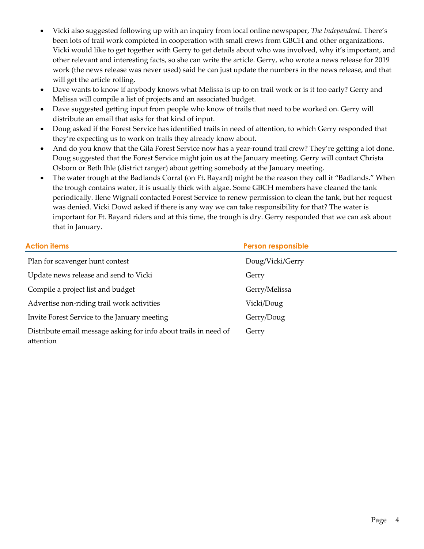- Vicki also suggested following up with an inquiry from local online newspaper, *The Independent*. There's been lots of trail work completed in cooperation with small crews from GBCH and other organizations. Vicki would like to get together with Gerry to get details about who was involved, why it's important, and other relevant and interesting facts, so she can write the article. Gerry, who wrote a news release for 2019 work (the news release was never used) said he can just update the numbers in the news release, and that will get the article rolling.
- Dave wants to know if anybody knows what Melissa is up to on trail work or is it too early? Gerry and Melissa will compile a list of projects and an associated budget.
- Dave suggested getting input from people who know of trails that need to be worked on. Gerry will distribute an email that asks for that kind of input.
- Doug asked if the Forest Service has identified trails in need of attention, to which Gerry responded that they're expecting us to work on trails they already know about.
- And do you know that the Gila Forest Service now has a year-round trail crew? They're getting a lot done. Doug suggested that the Forest Service might join us at the January meeting. Gerry will contact Christa Osborn or Beth Ihle (district ranger) about getting somebody at the January meeting.
- The water trough at the Badlands Corral (on Ft. Bayard) might be the reason they call it "Badlands." When the trough contains water, it is usually thick with algae. Some GBCH members have cleaned the tank periodically. Ilene Wignall contacted Forest Service to renew permission to clean the tank, but her request was denied. Vicki Dowd asked if there is any way we can take responsibility for that? The water is important for Ft. Bayard riders and at this time, the trough is dry. Gerry responded that we can ask about that in January.

| <b>Action items</b>                                                           | <b>Person responsible</b> |
|-------------------------------------------------------------------------------|---------------------------|
| Plan for scavenger hunt contest                                               | Doug/Vicki/Gerry          |
| Update news release and send to Vicki                                         | Gerry                     |
| Compile a project list and budget                                             | Gerry/Melissa             |
| Advertise non-riding trail work activities                                    | Vicki/Doug                |
| Invite Forest Service to the January meeting                                  | Gerry/Doug                |
| Distribute email message asking for info about trails in need of<br>attention | Gerry                     |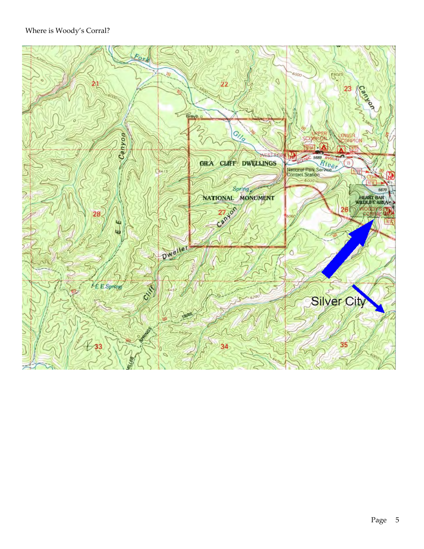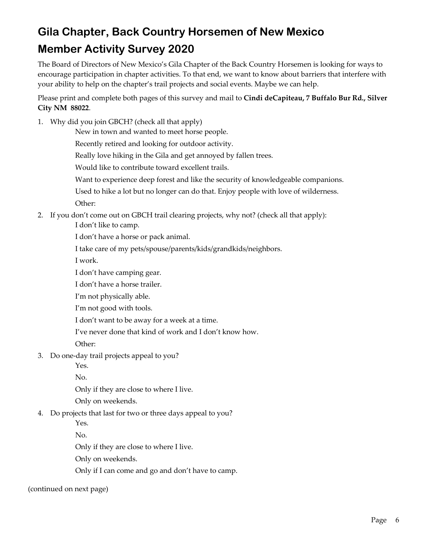## **Gila Chapter, Back Country Horsemen of New Mexico Member Activity Survey 2020**

The Board of Directors of New Mexico's Gila Chapter of the Back Country Horsemen is looking for ways to encourage participation in chapter activities. To that end, we want to know about barriers that interfere with your ability to help on the chapter's trail projects and social events. Maybe we can help.

Please print and complete both pages of this survey and mail to **Cindi deCapiteau, 7 Buffalo Bur Rd., Silver City NM 88022**.

1. Why did you join GBCH? (check all that apply)

New in town and wanted to meet horse people.

Recently retired and looking for outdoor activity.

Really love hiking in the Gila and get annoyed by fallen trees.

Would like to contribute toward excellent trails.

- Want to experience deep forest and like the security of knowledgeable companions.
- Used to hike a lot but no longer can do that. Enjoy people with love of wilderness.

Other:

2. If you don't come out on GBCH trail clearing projects, why not? (check all that apply):

I don't like to camp.

- I don't have a horse or pack animal.
- I take care of my pets/spouse/parents/kids/grandkids/neighbors.

I work.

- I don't have camping gear.
- I don't have a horse trailer.
- I'm not physically able.
- I'm not good with tools.
- I don't want to be away for a week at a time.
- I've never done that kind of work and I don't know how.

Other:

3. Do one-day trail projects appeal to you?

Yes.

No.

Only if they are close to where I live.

- Only on weekends.
- 4. Do projects that last for two or three days appeal to you?

Yes.

No.

Only if they are close to where I live.

Only on weekends.

Only if I can come and go and don't have to camp.

(continued on next page)